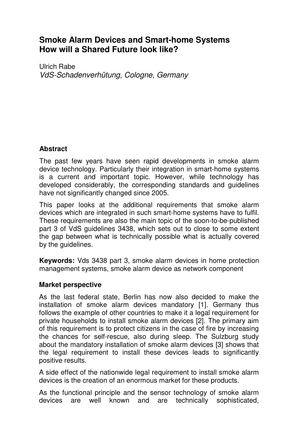# **Smoke Alarm Devices and Smart-home Systems How will a Shared Future look like?**

Ulrich Rabe VdS-Schadenverhütung, Cologne, Germany

# **Abstract**

The past few years have seen rapid developments in smoke alarm device technology. Particularly their integration in smart-home systems is a current and important topic. However, while technology has developed considerably, the corresponding standards and guidelines have not significantly changed since 2005.

This paper looks at the additional requirements that smoke alarm devices which are integrated in such smart-home systems have to fulfil. These requirements are also the main topic of the soon-to-be-published part 3 of VdS guidelines 3438, which sets out to close to some extent the gap between what is technically possible what is actually covered by the guidelines.

**Keywords:** Vds 3438 part 3, smoke alarm devices in home protection management systems, smoke alarm device as network component

# **Market perspective**

As the last federal state, Berlin has now also decided to make the installation of smoke alarm devices mandatory [1]. Germany thus follows the example of other countries to make it a legal requirement for private households to install smoke alarm devices [2]. The primary aim of this requirement is to protect citizens in the case of fire by increasing the chances for self-rescue, also during sleep. The Sulzburg study about the mandatory installation of smoke alarm devices [3] shows that the legal requirement to install these devices leads to significantly positive results.

A side effect of the nationwide legal requirement to install smoke alarm devices is the creation of an enormous market for these products.

As the functional principle and the sensor technology of smoke alarm devices are well known and are technically sophisticated,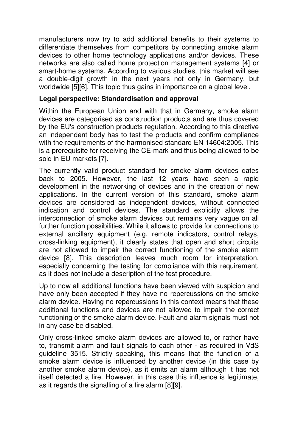manufacturers now try to add additional benefits to their systems to differentiate themselves from competitors by connecting smoke alarm devices to other home technology applications and/or devices. These networks are also called home protection management systems [4] or smart-home systems. According to various studies, this market will see a double-digit growth in the next years not only in Germany, but worldwide [5][6]. This topic thus gains in importance on a global level.

#### **Legal perspective: Standardisation and approval**

Within the European Union and with that in Germany, smoke alarm devices are categorised as construction products and are thus covered by the EU's construction products regulation. According to this directive an independent body has to test the products and confirm compliance with the requirements of the harmonised standard EN 14604:2005. This is a prerequisite for receiving the CE-mark and thus being allowed to be sold in EU markets [7].

The currently valid product standard for smoke alarm devices dates back to 2005. However, the last 12 years have seen a rapid development in the networking of devices and in the creation of new applications. In the current version of this standard, smoke alarm devices are considered as independent devices, without connected indication and control devices. The standard explicitly allows the interconnection of smoke alarm devices but remains very vague on all further function possibilities. While it allows to provide for connections to external ancillary equipment (e.g. remote indicators, control relays, cross-linking equipment), it clearly states that open and short circuits are not allowed to impair the correct functioning of the smoke alarm device [8]. This description leaves much room for interpretation, especially concerning the testing for compliance with this requirement, as it does not include a description of the test procedure.

Up to now all additional functions have been viewed with suspicion and have only been accepted if they have no repercussions on the smoke alarm device. Having no repercussions in this context means that these additional functions and devices are not allowed to impair the correct functioning of the smoke alarm device. Fault and alarm signals must not in any case be disabled.

Only cross-linked smoke alarm devices are allowed to, or rather have to, transmit alarm and fault signals to each other - as required in VdS guideline 3515. Strictly speaking, this means that the function of a smoke alarm device is influenced by another device (in this case by another smoke alarm device), as it emits an alarm although it has not itself detected a fire. However, in this case this influence is legitimate, as it regards the signalling of a fire alarm [8][9].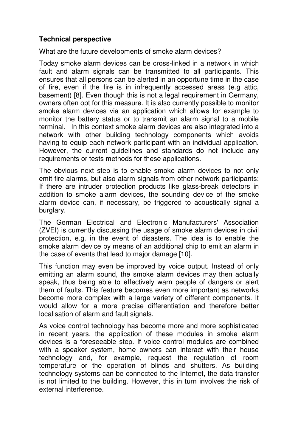# **Technical perspective**

What are the future developments of smoke alarm devices?

Today smoke alarm devices can be cross-linked in a network in which fault and alarm signals can be transmitted to all participants. This ensures that all persons can be alerted in an opportune time in the case of fire, even if the fire is in infrequently accessed areas (e.g attic, basement) [8]. Even though this is not a legal requirement in Germany, owners often opt for this measure. It is also currently possible to monitor smoke alarm devices via an application which allows for example to monitor the battery status or to transmit an alarm signal to a mobile terminal. In this context smoke alarm devices are also integrated into a network with other building technology components which avoids having to equip each network participant with an individual application. However, the current guidelines and standards do not include any requirements or tests methods for these applications.

The obvious next step is to enable smoke alarm devices to not only emit fire alarms, but also alarm signals from other network participants: If there are intruder protection products like glass-break detectors in addition to smoke alarm devices, the sounding device of the smoke alarm device can, if necessary, be triggered to acoustically signal a burglary.

The German Electrical and Electronic Manufacturers' Association (ZVEI) is currently discussing the usage of smoke alarm devices in civil protection, e.g. in the event of disasters. The idea is to enable the smoke alarm device by means of an additional chip to emit an alarm in the case of events that lead to major damage [10].

This function may even be improved by voice output. Instead of only emitting an alarm sound, the smoke alarm devices may then actually speak, thus being able to effectively warn people of dangers or alert them of faults. This feature becomes even more important as networks become more complex with a large variety of different components. It would allow for a more precise differentiation and therefore better localisation of alarm and fault signals.

As voice control technology has become more and more sophisticated in recent years, the application of these modules in smoke alarm devices is a foreseeable step. If voice control modules are combined with a speaker system, home owners can interact with their house technology and, for example, request the regulation of room temperature or the operation of blinds and shutters. As building technology systems can be connected to the Internet, the data transfer is not limited to the building. However, this in turn involves the risk of external interference.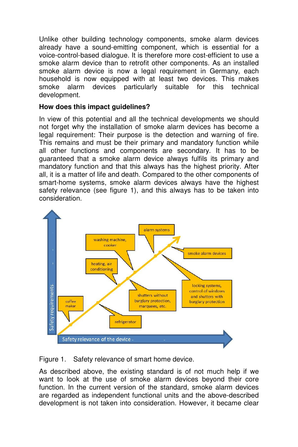Unlike other building technology components, smoke alarm devices already have a sound-emitting component, which is essential for a voice-control-based dialogue. It is therefore more cost-efficient to use a smoke alarm device than to retrofit other components. As an installed smoke alarm device is now a legal requirement in Germany, each household is now equipped with at least two devices. This makes smoke alarm devices particularly suitable for this technical development.

#### **How does this impact guidelines?**

In view of this potential and all the technical developments we should not forget why the installation of smoke alarm devices has become a legal requirement: Their purpose is the detection and warning of fire. This remains and must be their primary and mandatory function while all other functions and components are secondary. It has to be guaranteed that a smoke alarm device always fulfils its primary and mandatory function and that this always has the highest priority. After all, it is a matter of life and death. Compared to the other components of smart-home systems, smoke alarm devices always have the highest safety relevance (see figure 1), and this always has to be taken into consideration.



Figure 1. Safety relevance of smart home device.

As described above, the existing standard is of not much help if we want to look at the use of smoke alarm devices beyond their core function. In the current version of the standard, smoke alarm devices are regarded as independent functional units and the above-described development is not taken into consideration. However, it became clear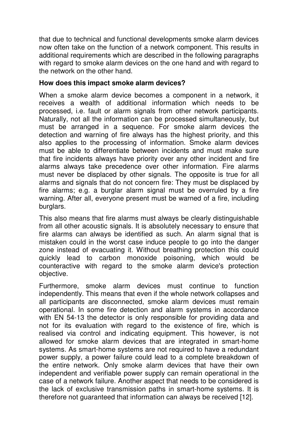that due to technical and functional developments smoke alarm devices now often take on the function of a network component. This results in additional requirements which are described in the following paragraphs with regard to smoke alarm devices on the one hand and with regard to the network on the other hand.

#### **How does this impact smoke alarm devices?**

When a smoke alarm device becomes a component in a network, it receives a wealth of additional information which needs to be processed, i.e. fault or alarm signals from other network participants. Naturally, not all the information can be processed simultaneously, but must be arranged in a sequence. For smoke alarm devices the detection and warning of fire always has the highest priority, and this also applies to the processing of information. Smoke alarm devices must be able to differentiate between incidents and must make sure that fire incidents always have priority over any other incident and fire alarms always take precedence over other information. Fire alarms must never be displaced by other signals. The opposite is true for all alarms and signals that do not concern fire: They must be displaced by fire alarms; e.g. a burglar alarm signal must be overruled by a fire warning. After all, everyone present must be warned of a fire, including burglars.

This also means that fire alarms must always be clearly distinguishable from all other acoustic signals. It is absolutely necessary to ensure that fire alarms can always be identified as such. An alarm signal that is mistaken could in the worst case induce people to go into the danger zone instead of evacuating it. Without breathing protection this could quickly lead to carbon monoxide poisoning, which would be counteractive with regard to the smoke alarm device's protection objective.

Furthermore, smoke alarm devices must continue to function independently. This means that even if the whole network collapses and all participants are disconnected, smoke alarm devices must remain operational. In some fire detection and alarm systems in accordance with EN 54-13 the detector is only responsible for providing data and not for its evaluation with regard to the existence of fire, which is realised via control and indicating equipment. This however, is not allowed for smoke alarm devices that are integrated in smart-home systems. As smart-home systems are not required to have a redundant power supply, a power failure could lead to a complete breakdown of the entire network. Only smoke alarm devices that have their own independent and verifiable power supply can remain operational in the case of a network failure. Another aspect that needs to be considered is the lack of exclusive transmission paths in smart-home systems. It is therefore not guaranteed that information can always be received [12].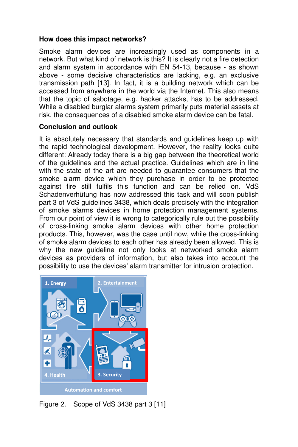# **How does this impact networks?**

Smoke alarm devices are increasingly used as components in a network. But what kind of network is this? It is clearly not a fire detection and alarm system in accordance with EN 54-13, because - as shown above - some decisive characteristics are lacking, e.g. an exclusive transmission path [13]. In fact, it is a building network which can be accessed from anywhere in the world via the Internet. This also means that the topic of sabotage, e.g. hacker attacks, has to be addressed. While a disabled burglar alarms system primarily puts material assets at risk, the consequences of a disabled smoke alarm device can be fatal.

# **Conclusion and outlook**

It is absolutely necessary that standards and guidelines keep up with the rapid technological development. However, the reality looks quite different: Already today there is a big gap between the theoretical world of the guidelines and the actual practice. Guidelines which are in line with the state of the art are needed to guarantee consumers that the smoke alarm device which they purchase in order to be protected against fire still fulfils this function and can be relied on. VdS Schadenverhütung has now addressed this task and will soon publish part 3 of VdS guidelines 3438, which deals precisely with the integration of smoke alarms devices in home protection management systems. From our point of view it is wrong to categorically rule out the possibility of cross-linking smoke alarm devices with other home protection products. This, however, was the case until now, while the cross-linking of smoke alarm devices to each other has already been allowed. This is why the new guideline not only looks at networked smoke alarm devices as providers of information, but also takes into account the possibility to use the devices' alarm transmitter for intrusion protection.



Figure 2. Scope of VdS 3438 part 3 [11]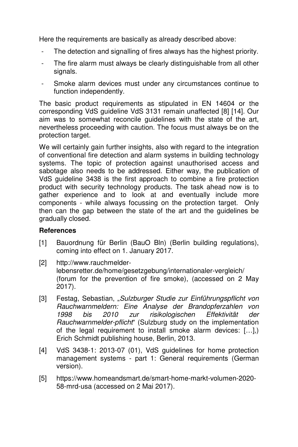Here the requirements are basically as already described above:

- The detection and signalling of fires always has the highest priority.
- The fire alarm must always be clearly distinguishable from all other signals.
- Smoke alarm devices must under any circumstances continue to function independently.

The basic product requirements as stipulated in EN 14604 or the corresponding VdS guideline VdS 3131 remain unaffected [8] [14]. Our aim was to somewhat reconcile guidelines with the state of the art, nevertheless proceeding with caution. The focus must always be on the protection target.

We will certainly gain further insights, also with regard to the integration of conventional fire detection and alarm systems in building technology systems. The topic of protection against unauthorised access and sabotage also needs to be addressed. Either way, the publication of VdS guideline 3438 is the first approach to combine a fire protection product with security technology products. The task ahead now is to gather experience and to look at and eventually include more components - while always focussing on the protection target. Only then can the gap between the state of the art and the guidelines be gradually closed.

# **References**

- [1] Bauordnung für Berlin (BauO Bln) (Berlin building regulations), coming into effect on 1. January 2017.
- [2] http://www.rauchmelderlebensretter.de/home/gesetzgebung/internationaler-vergleich/ (forum for the prevention of fire smoke), (accessed on 2 May 2017).
- [3] Festag, Sebastian, "Sulzburger Studie zur Einführungspflicht von Rauchwarnmeldern: Eine Analyse der Brandopferzahlen von 1998 bis 2010 zur risikologischen Effektivität der Rauchwarnmelder-pflicht" (Sulzburg study on the implementation of the legal requirement to install smoke alarm devices: […],) Erich Schmidt publishing house, Berlin, 2013.
- [4] VdS 3438-1: 2013-07 (01), VdS guidelines for home protection management systems - part 1: General requirements (German version).
- [5] https://www.homeandsmart.de/smart-home-markt-volumen-2020- 58-mrd-usa (accessed on 2 Mai 2017).